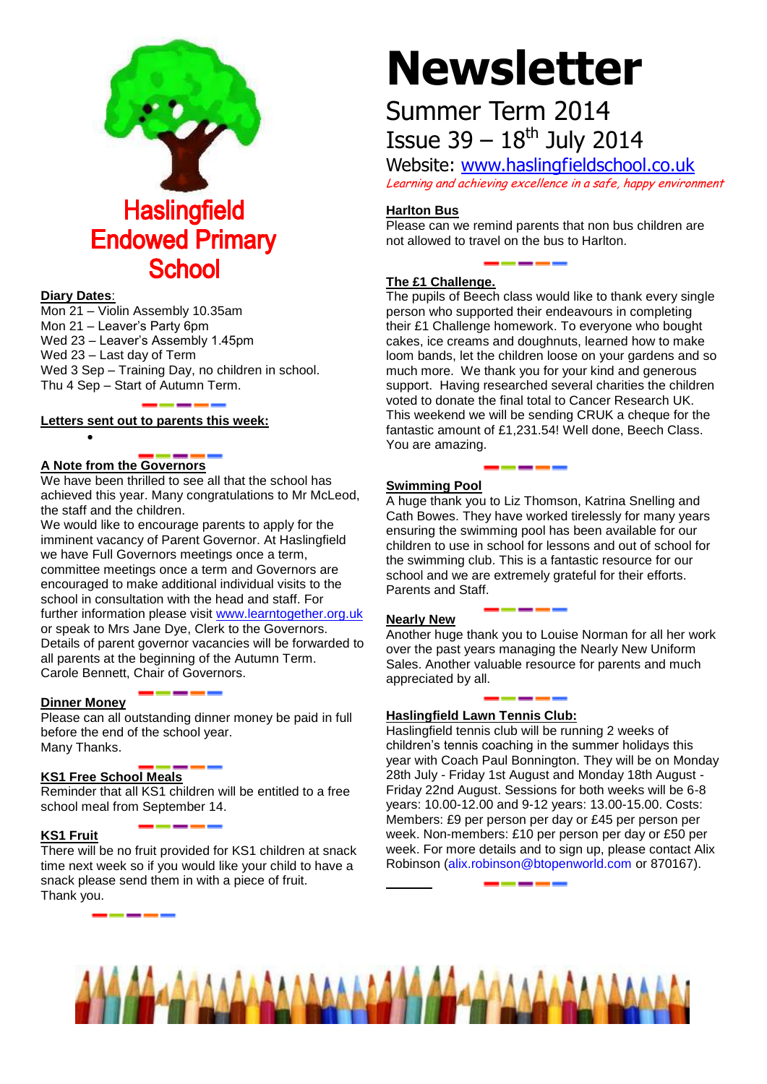

#### **Diary Dates**:

Mon 21 – Violin Assembly 10.35am Mon 21 – Leaver's Party 6pm Wed 23 – Leaver's Assembly 1.45pm Wed 23 – Last day of Term Wed 3 Sep – Training Day, no children in school. Thu 4 Sep – Start of Autumn Term.

#### **Letters sent out to parents this week:**

#### **A Note from the Governors**

 $\bullet$ 

We have been thrilled to see all that the school has achieved this year. Many congratulations to Mr McLeod, the staff and the children.

We would like to encourage parents to apply for the imminent vacancy of Parent Governor. At Haslingfield we have Full Governors meetings once a term, committee meetings once a term and Governors are encouraged to make additional individual visits to the school in consultation with the head and staff. For further information please visit [www.learntogether.org.uk](http://www.learntogether.org.uk/) or speak to Mrs Jane Dye, Clerk to the Governors. Details of parent governor vacancies will be forwarded to all parents at the beginning of the Autumn Term. Carole Bennett, Chair of Governors.

#### **Dinner Money**

Please can all outstanding dinner money be paid in full before the end of the school year. Many Thanks.

#### **KS1 Free School Meals**

Reminder that all KS1 children will be entitled to a free school meal from September 14.

#### **KS1 Fruit**

There will be no fruit provided for KS1 children at snack time next week so if you would like your child to have a snack please send them in with a piece of fruit. Thank you.

# **Newsletter**

## Summer Term 2014 Issue  $39 - 18^{th}$  July 2014

Website: [www.haslingfieldschool.co.uk](http://www.haslingfieldschool.co.uk/) Learning and achieving excellence in a safe, happy environment

#### **Harlton Bus**

Please can we remind parents that non bus children are not allowed to travel on the bus to Harlton.

#### **The £1 Challenge.**

The pupils of Beech class would like to thank every single person who supported their endeavours in completing their £1 Challenge homework. To everyone who bought cakes, ice creams and doughnuts, learned how to make loom bands, let the children loose on your gardens and so much more. We thank you for your kind and generous support. Having researched several charities the children voted to donate the final total to Cancer Research UK. This weekend we will be sending CRUK a cheque for the fantastic amount of £1,231.54! Well done, Beech Class. You are amazing.

#### **Swimming Pool**

A huge thank you to Liz Thomson, Katrina Snelling and Cath Bowes. They have worked tirelessly for many years ensuring the swimming pool has been available for our children to use in school for lessons and out of school for the swimming club. This is a fantastic resource for our school and we are extremely grateful for their efforts. Parents and Staff.

#### **Nearly New**

Another huge thank you to Louise Norman for all her work over the past years managing the Nearly New Uniform Sales. Another valuable resource for parents and much appreciated by all.

#### **Haslingfield Lawn Tennis Club:**

Haslingfield tennis club will be running 2 weeks of children's tennis coaching in the summer holidays this year with Coach Paul Bonnington. They will be on Monday 28th July - Friday 1st August and Monday 18th August - Friday 22nd August. Sessions for both weeks will be 6-8 years: 10.00-12.00 and 9-12 years: 13.00-15.00. Costs: Members: £9 per person per day or £45 per person per week. Non-members: £10 per person per day or £50 per week. For more details and to sign up, please contact Alix Robinson [\(alix.robinson@btopenworld.com](mailto:alix.robinson@btopenworld.com) or 870167).